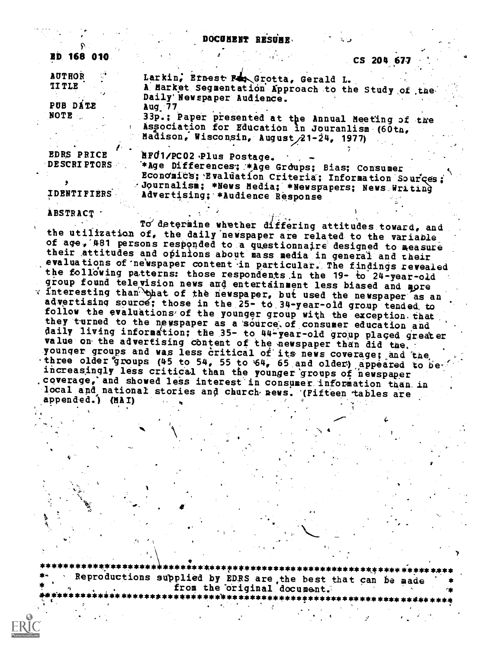|                                                               | DOCUMENT RESUME.<br>ای ک                                                                                                                                                                                                                                                               |  |
|---------------------------------------------------------------|----------------------------------------------------------------------------------------------------------------------------------------------------------------------------------------------------------------------------------------------------------------------------------------|--|
| ED 168 010                                                    | CS 204 677                                                                                                                                                                                                                                                                             |  |
| <b>AUTHOR</b><br><b>IITLE</b><br>PUB DATE<br><b>NOTE</b>      | Larkin, Ernest Ran Grotta, Gerald L.<br>A Market Segmentation Approach to the Study of the<br>Daily Newspaper Audience.<br>Aug $77$<br>33p.; Paper presented at the Annual Meeting of the<br>Association for Education in Jouranlism (60th,<br>Madison, Wisconsin, August 21-24, 1977) |  |
| <b>EDRS PRICE</b><br><b>DESCRIPTORS</b><br><b>IDENTIFIERS</b> | MF01/PC02 Plus Postage.<br>*Age Differences; *Age Groups; Bias; Consumer<br>Economics; Evaluation Criteria; Information Sources;<br>Journalism; *News Media; *Newspapers; News Writing<br>Advertising; *Audience Response                                                              |  |
| <b>ABSTRACT</b>                                               |                                                                                                                                                                                                                                                                                        |  |

To determine whether differing attitudes toward, and the utilization of, the daily newspaper are related to the variable of age, 481 persons responded to a questionnaire designed to measure their attitudes and opinions about mass media in general and their evaluations of newspaper content in particular. The findings revealed the following patterns: those respondents in the 19- to 24-year-old group found television news and entertainment less biased and more  $\tau$  interesting than bhat of the newspaper, but used the newspaper as an advertising source; those in the 25- to 34-year-old group tended to follow the evaluations of the younger group with the exception that they turned to the newspaper as a source of consumer education and daily living information; the 35- to 44-year-old group placed greater value on the advertising content of the newspaper than did the. younger groups and was less critical of its news coverage; and the three older groups (45 to 54, 55 to 64, 65 and older) appeared to be increasingly less critical than the younger groups of newspaper coverage, and showed less interest in consumer information than in local and national stories and church news. (Fifteen tables are appended.) (MAI)

\*\*\*\*\*\*\*\*\*\*\*\*\*\*\*\*\*\*\*\*\*\*\*\*\*\*\*\* Reproductions supplied by EDRS are the best that can be made<br>from the original document. \*\*\*\*\*\*\*\*\*\*\*\*\*\*\*\*\*\*\*\*\*\*\*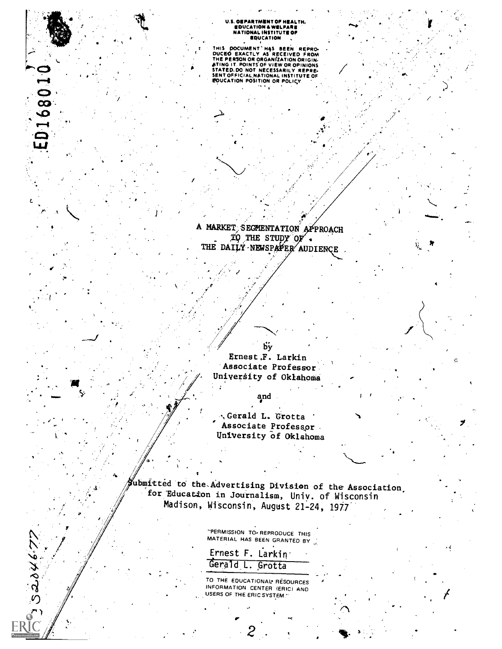U.S. OEPARTMENT OF HEALTH,<br>EDUCATION & WELFARE<br>NATIONAL INSTITUTE OF<br>EDUCATION

THIS DOCUMENT HAS BEEN REPRODUCED EXACTLY AS RECEIVED FROM<br>THE PERSON OR ORGANIZATION ORIGINATION<br>ATING IT POINTS OF VIEW OR OPINIONS<br>STATED DO NOT NECESSARILY REPRESSENT OFFICIAL INSTITUTE OF<br>EQUICATION POSITION OR POLICY

ED168010

 $320467$ 

A MARKET SEGMENTATION APPROACH<br>
TO THE STUDY OF THE DAILY NEWSPAPER AUDIENCE

by

Ernest F. Larkin Associate Professor University of Oklahoma

and

.Gerald L. Grotta Associate Professor University of Oklahoma

*J*ubmitted to the Advertising Division of the Association. for Education in Journalism, Univ. of Wisconsin Madison, Wisconsin, August 21-24, 1977

> "PERMISSION TO- REPRODUCE THIS MATERIAL HAS BEEN GRANTED BY

|  | Ernest F. Larkin |
|--|------------------|
|  | Gerald L. Grotta |

TO THE EDUCATIONAL RESOURCES INFORMATION CENTER (ERIC) AND USERS OF THE ERIC SYSTEM."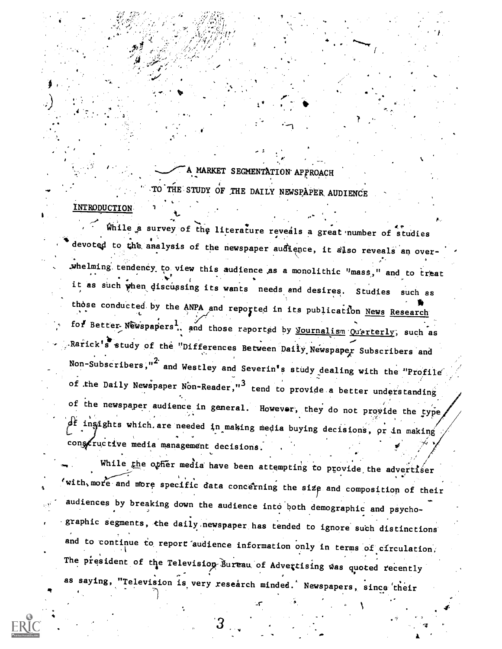A MARKET SEGMENTATION APPROACH TO THE STUDY OF THE DAILY NEWSPAPER AUDIENCE INTRODUCTION

While a survey of the literature reveals a great number of studies devoted to the analysis of the newspaper audience, it also reveals an overwhelming tendency to view this audience as a monolithic "mass," and to treat it as such when discussing its wants needs and desires. Studies such as those conducted by the ANPA and reported in its publication News Research for Better Newspapers<sup>1</sup>, and those reported by <u>Nournalism</u> Quarterly, such as Rarick's study of the "Differences Between Daily Newspaper Subscribers and Non-Subscribers,"<sup>2</sup> and Westley and Severin's study dealing with the "Profile of the Daily Newspaper Non-Reader,"<sup>3</sup> tend to provide a better understanding of the newspaper audience in general. However, they do not provide the type, of insights which are needed in making media buying decisions, or in making constructive media management decisions.

While the other media have been attempting to provide the advertiser with, more and more specific data concerning the size and composition of their audiences by breaking down the audience into both demographic and psychographic segments, the daily newspaper has tended to ignore such distinctions and to continue to report audience information only in terms of circulation, The president of the Television Bureau of Advertising was quoted recently as saying, "Television is very research minded. Newspapers, since their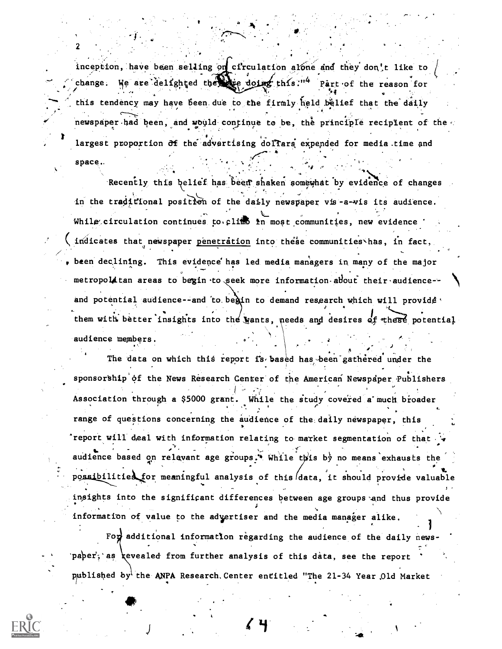inception, have been selling on circulation alone and they don't like to We are delighted the same doing this:"4 Part of the reason for change. this tendency may have been due to the firmly held belief that the daily newspaper had been, and would continue to be, the principle recipient of the largest proportion of the advertising dollars expended for media time and

space..

Recently this belief has been shaken somewhat by evidence of changes in the traditional position of the daily newspaper vis-a-wis its audience. While circulation continues to climb in most communities, new evidence ' indicates that newspaper penetration into these communities has, in fact, been declining. This evidence has led media managers in many of the major metropolitan areas to begin to seek more information about their audience-and potential audience--and to begin to demand research which will provide. them with better insights into the wants, needs and desires of these potential audience members.

The data on which this report is based has been gathered under the sponsorship of the News Research Center of the American Newspaper Publishers Association through a \$5000 grant. While the study covered a much broader range of questions concerning the audience of the daily newspaper, this report will deal with information relating to market segmentation of that audience based on relevant age groups.\* While this by no means exhausts the possibilities for meaningful analysis of this data, it should provide valuable insights into the significant differences between age groups and thus provide information of value to the advertiser and the media manager alike.

For additional information regarding the audience of the daily newspaper, as revealed from further analysis of this data, see the report published by the ANPA Research Center entitled "The 21-34 Year Old Market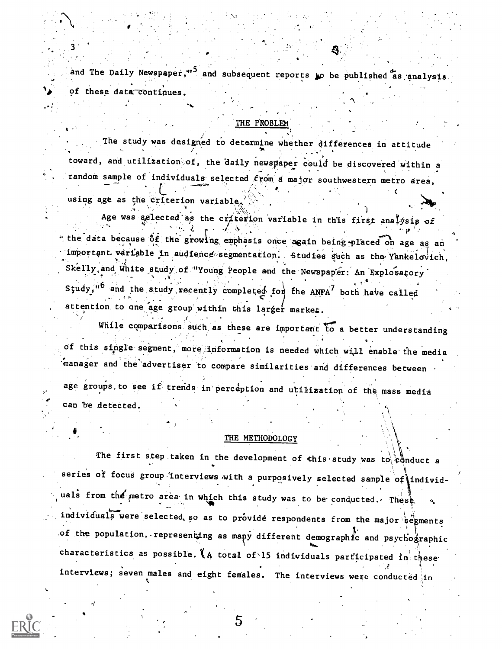and The Daily Newspaper,"<sup>5</sup> and subsequent reports to be published as analysis. of these data continues.

#### THE PROBLEM

The study was designed to determine whether differences in attitude toward, and utilization of, the daily newspaper could be discovered within a random sample of individuals selected from a major southwestern metro area,

using age as the criterion variable.

3

Age was selected as the criterion variable in this first analysis of the data because of the growing emphasis once again being placed on age as an important variable in audience segmentation. Studies such as the Yankelovich, Skelly and White study of "Young People and the Newspaper: An Exploratory Study,"<sup>6</sup> and the study recently completed for the ANPA<sup>7</sup> both have called attention to one age group within this larger market.

While comparisons such as these are important to a better understanding of this single segment, more information is needed which will enable the media manager and the advertiser to compare similarities and differences between age groups to see if trends in perception and utilization of the mass media can be detected.

#### THE METHODOLOGY

The first step taken in the development of this study was to reduct a series of focus group interviews with a purposively selected sample of individuals from the metro area in which this study was to be conducted. These individuals were selected so as to provide respondents from the major segments of the population, representing as many different demographic and psychographic characteristics as possible. (A total of 15 individuals participated in these interviews; seven males and eight females. The interviews were conducted in

5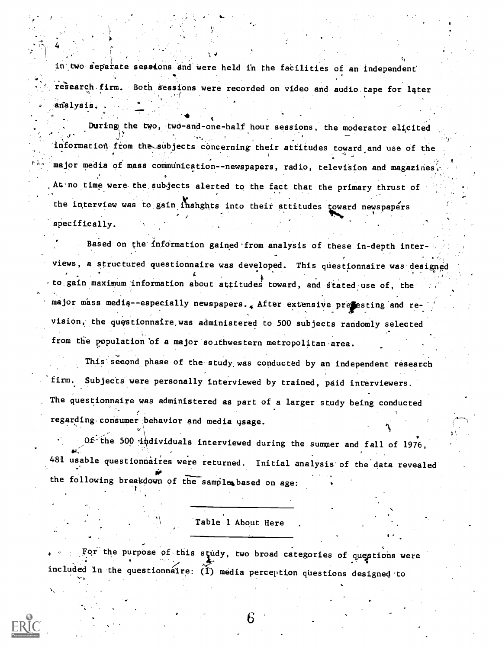in two separate sessions and were held in the facilities of an independent research firm. Both sessions were recorded on video and audio tape for later analysis.  $\mathbf{C}$ 

, where  $\mathcal{R}(\mathbf{A})$  is a set of  $\mathcal{R}(\mathbf{A})$ 

I

During the two, two-and-one-half hour sessions, the moderator elicited .''  $$ information from the subjects concerning their attitudes toward and use of the major media of mass communication--newspapers, radio, television and magazines, At no time were the subjects alerted to the fact that the primary thrust of the interview was to gain inshghts into their attitudes toward newspapers , the set of the set of the set of the set of the set of the set of the set of the set of the set of the set of the set of the set of the set of the set of the set of the set of the set of the set of the set of the set of specifically. During the two, two-and-one-half hour sessions, the moderator elicited<br>information from the aubjects concerning their attitudes toward and use of the<br>major media of mass communication-newspapers, radio, television and maga

Based on the information gained from analysis of these in-depth interviews, a structured questionnaire was developed. This questionnaire was designed to.gain maximum:information about attitudes toward, and stated use of, the major mass media--especially newspapers.. After extensive presesting and revision, the questionnaire was administered to 500 subjects randomly selected from the population 'of a major southwestern metropolitan-area.

This second phase of the study was conducted by an independent research firm. Subjects were personally interviewed by trained, paid interviewers. The questionnaire was administered as part of a larger study being conducted regarding consumer behavior and media usage.

Of the 500 individuals interviewed during the summer and fall of 1976, 481 usable questionnaires were returned. Initial analysis of the data revealed the following breakdown of the sample based on age:

Table 1 About Here

For the purpose of this study, two broad categories of questions were included in the questionnaire:  $\widetilde{I}$  media perception questions designed to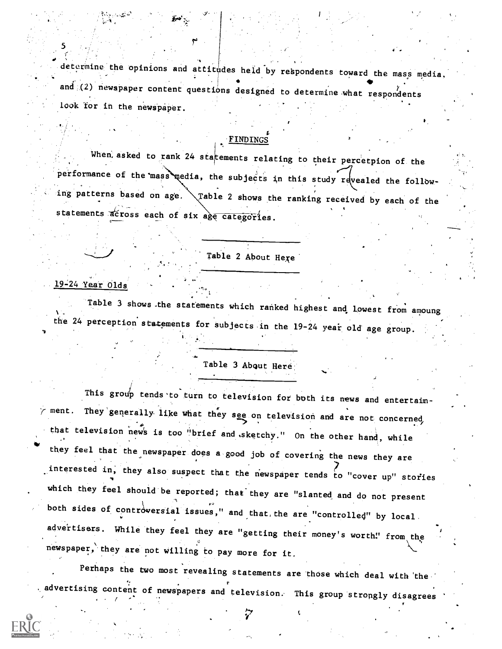determine the opinions and attitudes held by respondents toward the mass media. and (2) newspaper content questions designed to determine what respondents look for in the newspaper.

#### t FINDINGS

When asked to rank 24 statements relating to their percetpion of the performance of the mass media, the subjects in this study revealed the following patterns based on age.  $\setminus$  Table 2 shows the ranking received by each of the statements across each of six age categories.

Table 2 About Here

#### 19=24 Year Olds,

 $\mathsf{S}_{\mathbb{Z}_p}$  ,  $\mathbb{Z}_p$  ,  $\mathbb{Z}_p$ 

Table 3 shows the statements which ranked highest and lowest from amoung the 24 perception statements for subjects in the 19-24 year old age group.

## Table 3 About Here;

ment. This group tends to turn to television for both its news and entertain-They generally like what they see on television and are not concerned / that television news is too "brief and sketchy." On the other hand, while they feel that the newspaper does a good job of covering the news they are interested in, they also suspect that the newspaper tends to "cover up" stories which they feel should be reported; that they are "slanted and do not present both sides of controversial issues," and that, the are "controlled" by local advertisers. While they feel they are "getting their money's worth!' from the newspaper,' they are not willing to pay more for it.

Perhaps the two most revealing statements are those which deal with the advertising content of newspapers and television. This group strongly disagrees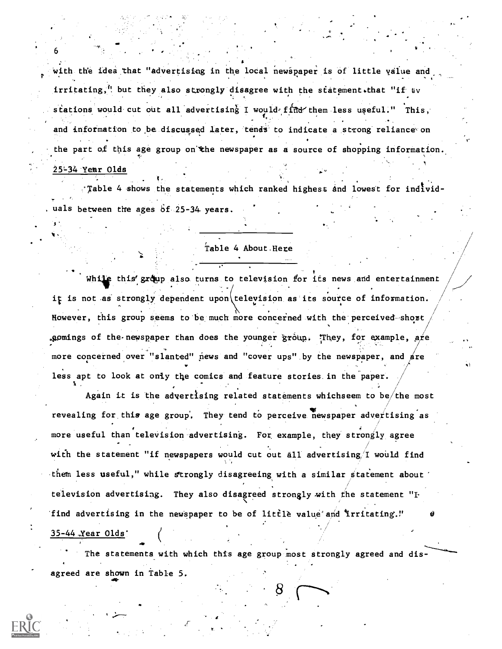with the idea that "advertising in the local newspaper is of little value and irritating," but they also strongly disagree with the statement.that "if  $\epsilon$ v stations would cut out all advertising I would find them less useful." This, . . and information to be discussed later, tends to indicate a strong reliance on the part of this age group on the newspaper as a source of shopping information. 25-34 Year Olds

r

'Table 4 shows the statements which ranked highest and lowest for individuals between the ages  $6f_{\odot}25-34$  years.

#### Table 4 About. Here

While this' group also turns to television for its news and entertainment it is not as strongly dependent upon television as its source of information. However, this group seems to be much more concerned with the perceived-short .gomings of the newspaper than does the younger group. They, for example,  $\texttt{a}$ re more concerned over "slanted" news and "cover ups" by the newspaper, and are less apt to look at oniy the comics and feature stories. in the paper.

Again it is the advertising related statements whichseem to be/the most revealing for this age group. They tend to perceive newspaper advertising as more useful than television advertising. For example, they strongly agree with the statement "if newspapers would cut out all advertising/I would find them less useful," while strongly disagreeing with a similar statement about television advertising. They also disagreed strongly with the statement " $\mathbf{F}$ find advertising in the newspaper to be of little value and irritating."

#### 35 -44 ,Year Olds'

6

The statements with which this age group most strongly agreed and disagreed are shown in Table 5.

7,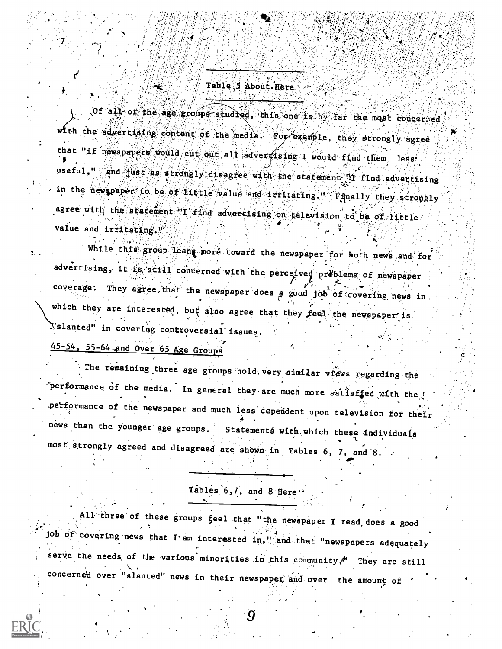# Table 5 About Here

Of all of the age groups studied, this one is by far the most concerred w<sup>i</sup>th the advertising content of the media For example, they strongly agree that "if newspapers would cut out all advertising I would find them, less useful," and just as a rongly disagree with the statement if find advertising in the newspaper to be of little value and irritating. Finally they strongly agree with the statement "I find advertising on television to be of little value and irritating."

While this group leans more toward the newspaper for both news and for advertising, it is still concerned with the perceived problems of newspaper coverage. They agree that the newspaper does a good job of covering news in which they are interested, but also agree that they feel the newspaper is Yslanted" in covering controversial issues.

45-54, 55-64 and Over 65 Age Groups

The remaining three age groups hold very similar views regarding the performance of the media. In general they are much more sattsffed with the ? performance of the newspaper and much less dependent upon television for their news than the younger age groups. Statements with which these individuals most strongly agreed and disagreed are shown in Tables 6, 7, and 8.

Tables 6,7, and 8 Here

All three of these groups feel that "the newspaper I read does a good job of covering news that I am interested in," and that "newspapers adequately serve the needs of the various minorities in this community.<sup>4</sup> They are still concerned over "slanted" news in their newspaper and over the amount of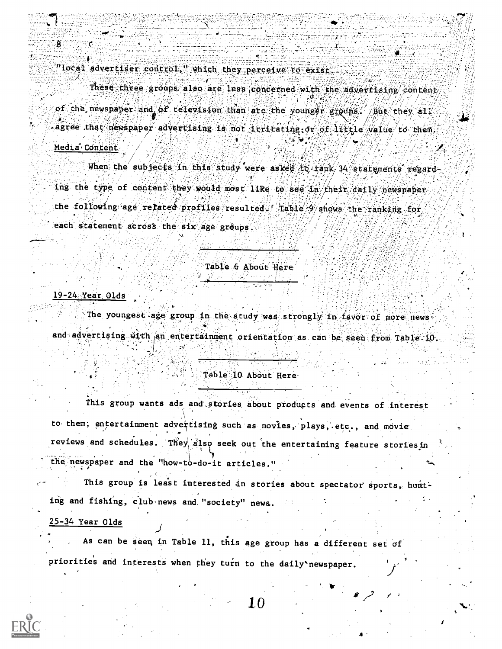"local advertiser control," which they perceive to exist.

These three groups also are less concerned with the advertising content, of the newspaper and of television than are the younger groups. But they all agree that newspaper advertising is not irritating or of little value to them,

### Media Content

8.

When the subjects in this study were asked to fank 34 statements regarding the type of content they would most like to see in their daily newspaper the following age related profiles resulted habie 9 shows the ranking for each statement across the six age groups.

#### Table 6 About Here

#### $19-24$  Year Olds

The youngest age group in the study was strongly in favor of more news. and advertising with an entertainment orientation as can be seen from Table 10.

#### Table 10 About Here

This group wants ads and stories about products and events of interest to them; entertainment advertising such as movies, plays, etc., and movie reviews and schedules. They also seek out the entertaining feature stories in the newspaper and the "how-to-do-it articles."

This group is least interested in stories about spectator sports, hunt-

ing and fishing, club news and "society" news.

#### 25-34 Year Olds

As can be seen in Table 11, this age group has a different set of priorities and interests when they turn to the daily'newspaper.

1.0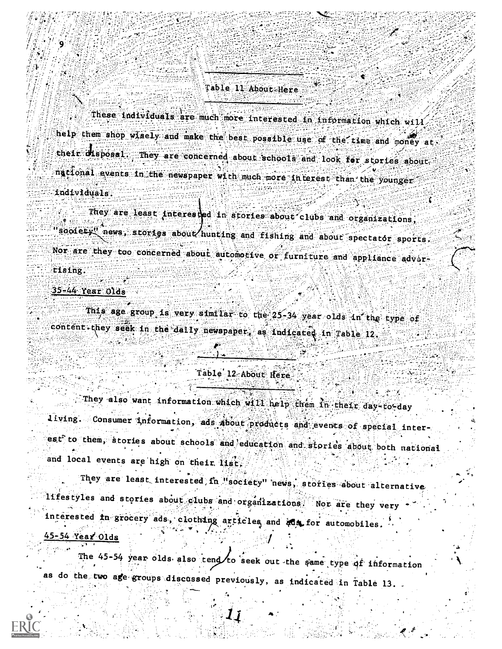# Table 11 About Here

These individuals are much more interested in information which will help them shop wisely and make the best possible use of the time and money at their disposal. They are concerned about schools and look for stories about national events in the newspaper with much more interest than the younger individuals.

They are least interested in stories about clubs and organizations, soolety" news, stories about hunting and fishing and about spectator sports. Nor are they too concerned about automorive or furniture and appliance advertising.

#### $35-44$  Year Olds

This age group is very similar to the 25-34 year olds in the type of content-they seek in the daily newspaper, as indicated in Table 12.

#### Table 12 About Here

They also want information which will help them in their day-to-day living. Consumer information, ads about products and events of special interest to them, stories about schools and education and stories about both national and local events are high on their list,

They are least interested in "society" news, stories about alternative lifestyles and stories about clubs and organizations. Nor are they very interested in grocery ads, clothing articles and ads for automobiles.

# 45-54 Year Olds

The 45-54 year olds also tend to seek out the same type of information as do the two age groups discussed previously, as indicated in Table 13.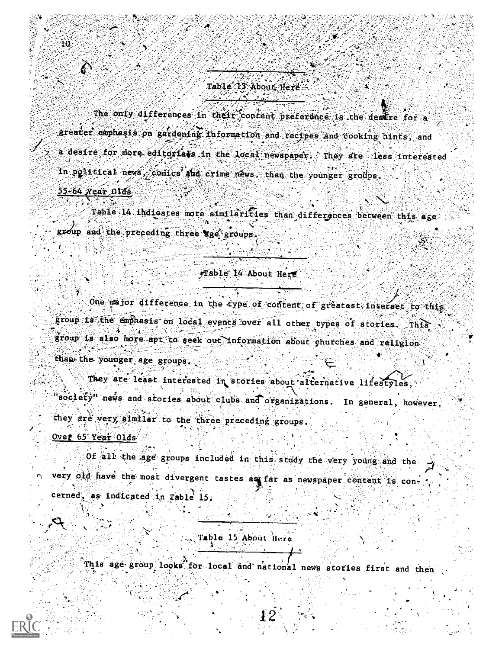# Table 13 About Here

The only differences in their contant preference is the desire for a greater emphasis on gardening information and recipes and cooking hints, and a desire for more editorials in the local newspaper. They are less interested in political news, comics she crime news, than the younger groups. 55-64 Year Olds

Table 14 indicates mote similarities than differences between this age group and the preceding three uge groups

#### Table 14 About Here

One major difference in the type of content of greatest interset to this group is the emphasis on local events over all other types of stories. This group is also more apt to seek out information about churches and religion than the younger age groups.

They are least interested in stories about alternative lifestyles. society" news and stories about clubs and organizations. In general, however, they are very similar to the three preceding groups.

Over 65 Year Olds

ŦÓ.

Of all the age groups included in this study the very young and the very old have the most divergent tastes as far as newspaper content is concerned, as indicated in Table 15:

# Table 15 About Here

This age group looks for local and national news stories first and then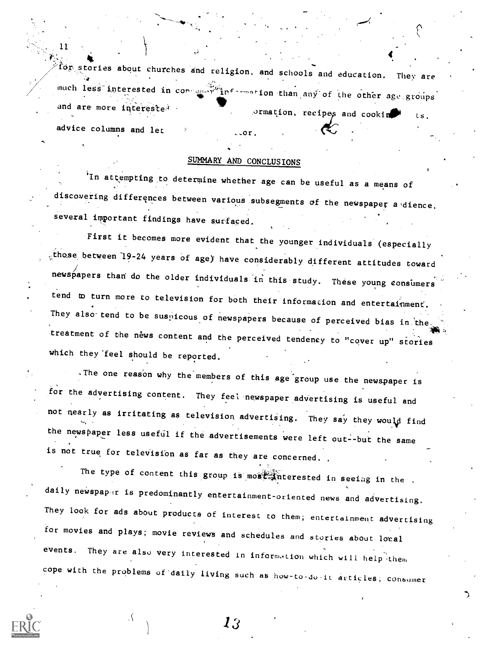$\frac{11}{20}$ . for stories about churches and religion, and schools and education. They are much less interested in cor-unart information than any of the other age groups ... and are more interested.  $\sigma$ rmation, recipes and cookin  $\mathbb{R}$  Ls, advice columns and let

 $\mathbf{11}$  and  $\mathbf{12}$ 

#### SUMMARY AND CONCLUSIONS

 $\sim$  or .

In attempting to determine whether age can be useful as a means of discovering differences between various subsegments of the newspaper a dience, several important findings have surfaced.

First it becomes more evident that the younger individuals (especially those between 19-24 years of age) have considerably different attitudes toward newspapers than do the older individuals in this-study. These young consumers tend to turn more to television for both their information and entertainment. They also tend to be suspicous of newspapers because of perceived bias in the treatment of the news content and the perceived tendency to "cover up" stories which they'feel should be reported.

The one reason why the members of this age group use the newspaper is for the advertising content. They feel newspaper advertising is useful and not nearly as irritating as television advertising. They say they would find the newspaper less useful if the advertisements were left out--but the same is not true for television as far as they are concerned.

The type of content this group is most interested in seeiag in the . daily newspaper is predominantly entertainment-oriented news and advertising. They look for ads about products of interest to them; entertainment advertising for movies and plays; movie reviews and schedules and stories about local events. They are also very interested in information which will help them cope with the problems of-daily living such as how-to-do-ic articles; consumer



13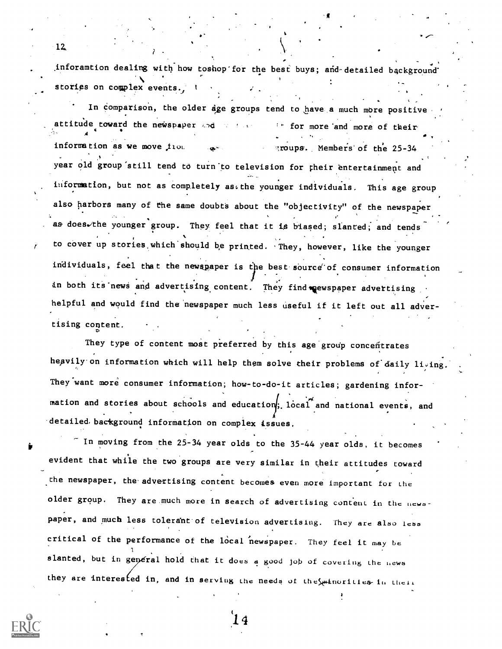inforamtion dealing with how toshop for the best buys; and detailed background stories on complex events., t .

In comparison, the older age groups tend to have a much more positive attitude toward the newspaper and of their for more and more of their  $\overline{A}$ information as we move  $f_{10}$ .  $\sim$  move  $\sim$  moups. Members of the 25-34 year old group still tend to turn to television for their entertainment and information, but not as completely assthe younger individuals. This age group also harbors many of the same doubts about the "objectivity" of the newspaper as does the younger group. They feel that it is biased; slanted; and tends  $\sim$ to cover up stories.which'should be printed. 'They, however, like the younger individuals, feel that the newspaper is the best source of consumer information , in both its news and advertising content. They find mewspaper advertising helpful and would find the newspaper much less useful if it left out all advertising content.

They type of content most preferred by this age group concentrates heavily on information which will help them solve their problems of daily living. They want more consumer information; how-to-do-it articles; gardening information and stories about schools and education, local and national events, and detailed. background information on complex issues.

 $\tilde{ }$  In moving from the 25-34 year olds to the 35-44 year olds, it becomes evident that while the two groups are very similar in their attitudes toward the newspaper, the advertising content becomes even more important for the older group. They are.much more in search of advertising content in the newopaper, and much less tolerant of television advertising. They are also less critical of the performance of the local newspaper. They feel it may be slanted, but in general hold that it does a good job of covering the news they are interested in, and in serving the needs of the statules in their



12.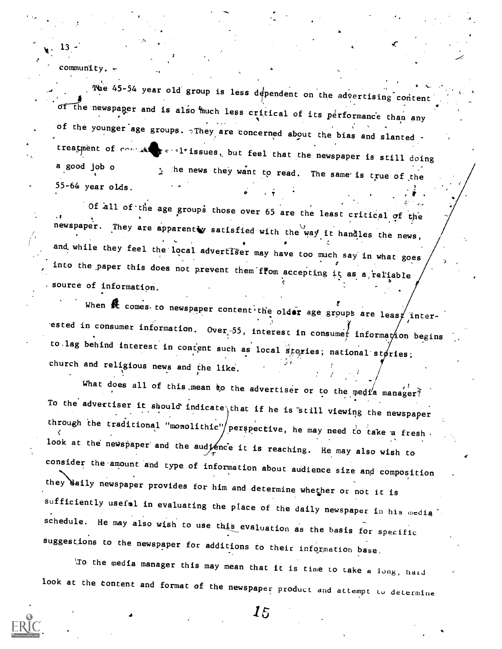community.

13 ;

The 45-54 year old group is less dependent on the advertising content or the newspaper and is also much less critical of its performance than any with the set of the state of the state of the state of the state of the state of the state of the state of the state of the state of the state of of the younger age groups.  $\gamma$ They are concerned about the bias and slanted treatment of contains  $\mathbf{r} \in \{1, 1\}$  issues, but feel that the newspaper is still doing a good job o 55-64 year oLds.  $\frac{1}{2}$  the news they want to read. The same is true of the  $\bullet$  ,  $\bullet$ 1 $\hat{r}$  , , , , ,

a

.3

Of all of the age groups those over 65 are the least critical of the newspaper. They are apparently satisfied with the way it h and while they feel the local adverffBer may have too much say in what goes into the paper this does not prevent them from accepting it as a, reliable source of information.

When  $\hat{R}$  comes to newspaper content the older age groups are leasy inter-. ested in consumer information. Over 55, interest in consumet information begins to.lag behind interest in content such as local stories; national stories; church and religious news and the like. /

what does all of this mean to the advertiser or to the media manager? To the advertiser it should indicate that if he is still viewing the newspaper through the traditional "monolithic"/perspective, he may need to take a fresh. look at the newspaper and the audjence it is reaching. He may also wish to consider the amount and type of information about audience size and composition they daily newspaper provides for him and determine whether or not it is sufficiently usefal in evaluating the place of the daily newspaper in his media' schedule. He may also wish to use this evaluation as the basis for specific suggestions to the newspaper for additions to their information base.

`,:ro the media manager this may mean that it is time to take a lung, hard look at the content and format of the newspaper product and attempt to determine

 $\bf\overline{15}$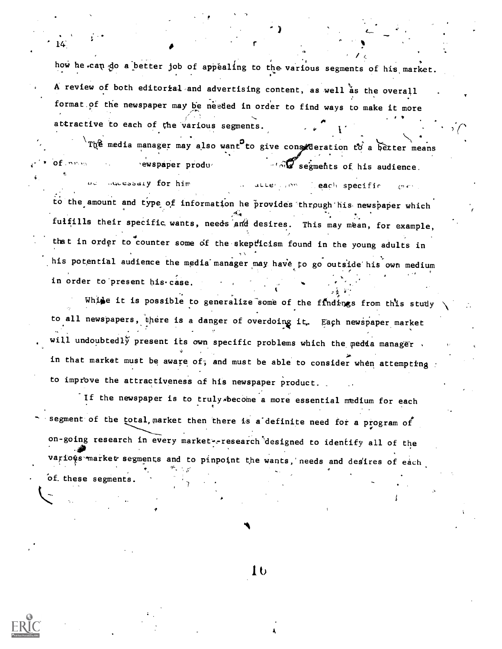how he can do a better job of appealing to the various segments of his market. A review of both editorial and advertising content, as well as the overall format of the newspaper may be needed in order to find ways to make it more attractive to each of the various segments.  $\sim$ 

r i Sant

The media manager may also want to give consideration to a better means

**c** contract the contract of the contract of the contract of the contract of the contract of the contract of the contract of the contract of the contract of the contract of the contract of the contract of the contract of t

 $\mathbf{I}$ 

 $of.$ 

 $14.$  If  $\bullet$  If  $\bullet$ 

sewspaper produmuessary for him ons segments of his audience. alle<sub>, com</sub> leach specific to the amount and type of information he provides through his newspaper which fulfills their specific wants, needs and desires. This may mean, for example, that in order to counter some of the skepticism found in the young adults in his potential audience the media manager may have to go outside his own medium . ,.. . , . in order to present his case.

While it is possible to generalize some of the findings from this study  $\setminus$ to all newspapers, there is a danger of overdoing it. Each newspaper market . will undoubtedly present its own specific problems which the media manager . in that market must be aware of, and must be able to consider when attempting to improve the attractiveness of his newspaper product. .

If the newspaper is to truly.become a more essential medium for each segment of the total, market then there is a definite need for a program of on-going research in every market'-- research 'designed to identify all of the various market segments and to pinpoint the wants, needs and desires of each Of. these segments.

I t)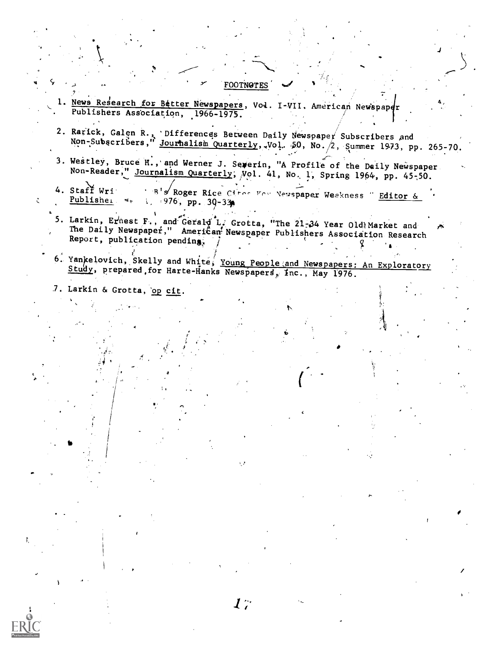#### **FOOTNOTES**

- 1. News Research for Better Newspapers, Vol. I-VII. American Newspaper Publishers Association, 1966-1975.
- 2. Rarick, Galen R., Differences Between Daily Newspaper Subscribers and<br>Non-Subscribers, Journalism Quarterly, Vol. 50, No. 2, Summer 1973, pp. 265-70.
- 3. Westley, Bruce H., and Werner J. Severin, "A Profile of the Daily Newspaper Non-Reader," Journalism Quarterly, Vol. 41, No. 1, Spring 1964, pp. 45-50.
- "B's Roger Rice Citor For Newspaper Weakness" Editor & 4. Staff Wri  $Publlishe<sub>1</sub>$  \*=  $1, 976, pp. 30-33p$
- 5. Larkin, Ernest F., and Gerald L. Grotta, "The 21-34 Year Old Market and The Daily Newspaper," American Newspaper Publishers Association Research Report, publication pending,
- 6. Yankelovich, Skelly and White, Young People and Newspapers: An Exploratory Study, prepared for Harte-Hanks Newspapers, Inc., May 1976.
- 7. Larkin & Grotta, op cit.

 $\ddot{\zeta}$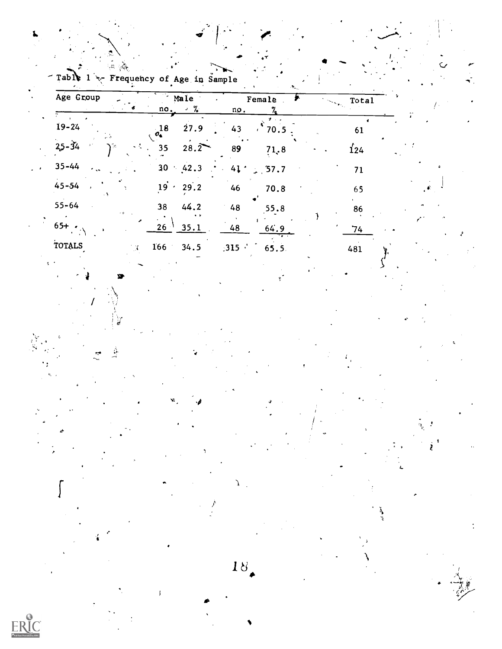|  |  |                                           |  | . |  |
|--|--|-------------------------------------------|--|---|--|
|  |  | Table 1 $\sim$ Frequency of Age in Sample |  |   |  |
|  |  |                                           |  |   |  |
|  |  |                                           |  |   |  |
|  |  |                                           |  |   |  |

| Age Group       | Male<br>$\frac{1}{2}$<br>no.    | Female<br>no.       | Total         |  |
|-----------------|---------------------------------|---------------------|---------------|--|
| $19 - 24$       | $\sigma_{\bullet}^{18}$<br>27.9 | $\sqrt{70.5}$<br>43 | 61            |  |
| $25 - 34$<br>١× | 28.2<br>. 35                    | 89<br>71.8          | $\frac{1}{2}$ |  |
| $35 - 44$       | 30<br>42.3                      | $41 \div 57.7$      | 71            |  |
| $45 - 54$       | $19 \cdot 29.2$                 | 46<br>70.8          | 65            |  |
| $55 - 64$       | 38<br>44.2                      | 48<br>55.8          | 86            |  |
| $65 + .$        | $26^{-1}$<br>35.1               | 48<br>64.9          | 74            |  |
| TOTALS          | 166<br>34.5                     | 315<br>65.5         | 481           |  |

18.

ي<br>ج

El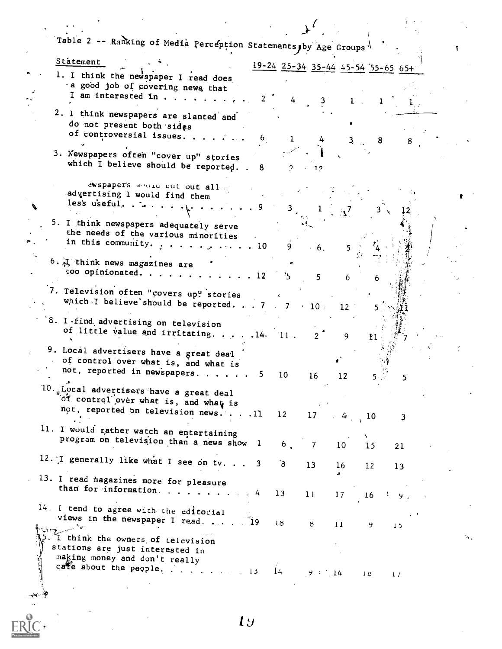| Table 2 -- Ranking of Media Perception Statements, by Age Groups                     |            |                |                 |                 |                |                                           |  |
|--------------------------------------------------------------------------------------|------------|----------------|-----------------|-----------------|----------------|-------------------------------------------|--|
| Statement                                                                            |            |                |                 |                 |                | $19-24$ $25-34$ $35-44$ $45-54$ 55-65 65+ |  |
| 1. I think the newspaper I read does                                                 |            |                |                 |                 |                |                                           |  |
| a good job of covering news, that                                                    |            |                |                 |                 |                |                                           |  |
| I am interested in                                                                   |            |                |                 |                 |                |                                           |  |
| 2. I think newspapers are slanted and                                                |            |                |                 |                 |                |                                           |  |
| do not present both sides                                                            |            |                |                 |                 |                |                                           |  |
| of controversial issues                                                              | 6          | $\mathbf{1}$   | $4 -$           |                 | 8 <sub>o</sub> |                                           |  |
| 3. Newspapers often "cover up" stories                                               |            |                |                 |                 |                |                                           |  |
| which I believe should be reported. . 8                                              |            |                |                 |                 |                |                                           |  |
|                                                                                      |            | 2.             |                 |                 |                |                                           |  |
| ewspaper's would cut out all                                                         |            |                |                 |                 |                |                                           |  |
| advertising I would find them                                                        |            |                |                 |                 |                |                                           |  |
| les's useful, $\cdots$ , $\cdots$                                                    |            | $3^{\circ}$    |                 |                 |                |                                           |  |
| 5. I think newspapers adequately serve                                               |            |                |                 |                 |                |                                           |  |
| the needs of the various minorities                                                  |            |                |                 |                 |                |                                           |  |
| in this community. $\cdots$ 10                                                       |            | 9              | $\therefore$ 6. | 5 <sup>5</sup>  |                |                                           |  |
| 6. I think news magazines are                                                        |            |                |                 |                 |                |                                           |  |
| too opinionated.                                                                     |            |                |                 |                 |                |                                           |  |
|                                                                                      | $\cdot$ 12 |                | $5 -$           | 6               |                |                                           |  |
| 7. Television often "covers up" stories                                              |            |                |                 |                 |                |                                           |  |
| which I believe should be reported. 7 . 7 . 10.                                      |            |                |                 | 12 <sup>2</sup> |                |                                           |  |
| 8. I find advertising on television                                                  |            |                |                 |                 |                |                                           |  |
| of little value and irritating. $\ldots$ . 14-11.                                    |            |                |                 |                 |                |                                           |  |
|                                                                                      |            |                | $2^{\circ}$     | 9               | 11             |                                           |  |
| 9. Local advertisers have a great deal                                               |            |                |                 |                 |                |                                           |  |
| of control over what is, and what is                                                 |            |                |                 |                 |                |                                           |  |
| not, reported in newspapers.                                                         | 5.         | 10             | 16              | 12              |                | 5.                                        |  |
| $10.$ Local advertisers have a great deal                                            |            |                |                 |                 |                |                                           |  |
| of control over what is, and what is                                                 |            |                |                 |                 |                |                                           |  |
| not, reported on television news 11 12                                               |            |                | 17 $4^{12}$     |                 |                | 3                                         |  |
|                                                                                      |            |                |                 |                 |                |                                           |  |
| 11. I would rather watch an entertaining<br>program on television than a news show 1 |            |                |                 |                 |                |                                           |  |
|                                                                                      |            | 6 <sub>1</sub> | $\overline{7}$  | 10 <sub>1</sub> | 15             | 21                                        |  |
| 12. I generally like what I see on tv. 3                                             |            | $\mathbf{8}$   | 13 <sup>2</sup> | 16 <sub>1</sub> | 12             | 13                                        |  |
|                                                                                      |            |                |                 |                 |                |                                           |  |
| 13. I read magazines more for pleasure<br>than for information. 4                    |            |                |                 |                 |                |                                           |  |
|                                                                                      |            | 13             | 11              | 17              | 16             | У.                                        |  |
| 14. I tend to agree with the editorial                                               |            |                |                 |                 |                |                                           |  |
| views in the newspaper I read.  19                                                   |            | 18             | ŏ.              | 11              | 9.             | 15                                        |  |
| I think the owners of television                                                     |            |                |                 |                 |                |                                           |  |
| stations are just interested in                                                      |            |                |                 |                 |                |                                           |  |
| making money and don't really                                                        |            |                |                 |                 |                |                                           |  |
| cate about the people. 13                                                            |            | 14             | $9 - 14$        |                 | $\sqrt{2}$     | $\frac{1}{2}$                             |  |
|                                                                                      |            |                |                 |                 |                |                                           |  |
|                                                                                      |            |                |                 |                 |                |                                           |  |
|                                                                                      |            |                |                 |                 |                |                                           |  |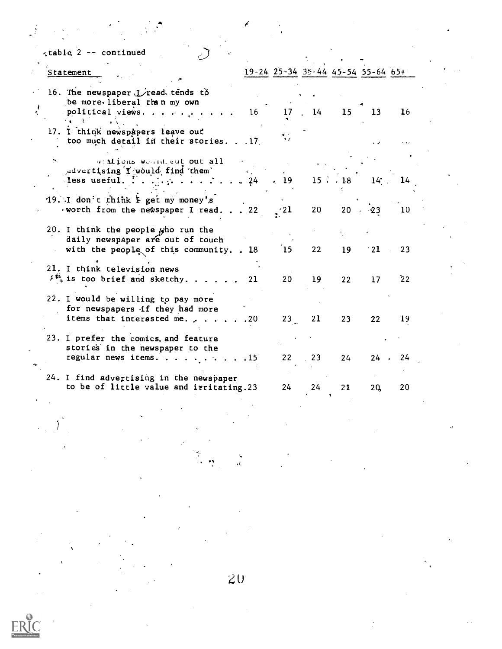| Statement                                                                                                                                   |       |                           |           |                 | 19-24 25-34 35-44 45-54 55-64 65+ |        |
|---------------------------------------------------------------------------------------------------------------------------------------------|-------|---------------------------|-----------|-----------------|-----------------------------------|--------|
| 16. The newspaper $L$ read tends to<br>be more. liberal than my own                                                                         |       |                           |           |                 |                                   |        |
| political views.                                                                                                                            | $16-$ |                           | $17 \t14$ | 15 <sub>1</sub> | 13 <sub>1</sub>                   | 16     |
| 17. I think newspapers leave out<br>too much detail in their stories. 17                                                                    |       | $\mathbf{1}$ $\mathbf{0}$ |           |                 |                                   |        |
| M,<br>atalions would out all                                                                                                                |       |                           |           |                 |                                   |        |
| advertising I would find them<br>less useful. $\therefore$ $\therefore$ $\therefore$ $\therefore$ $\therefore$ $\therefore$ $\frac{24}{10}$ |       | $\div$ 19                 |           |                 | $15 \cdot 18$ $14$ , $14$         |        |
| '19. I don't think I get my money's<br>worth from the newspaper I read. 22                                                                  |       | $\cdot$ 21                | 20        |                 | $20 \cdot 23$                     | 10     |
| 20. I think the people who run the<br>daily newspaper are out of touch<br>with the people of this community. . 18                           |       | 15                        | 22        | 19              | $\cdot$ 21                        | 23     |
| 21. I think television news<br>$\frac{1}{2}$ is too brief and sketchy                                                                       | 21    | 20                        | 19        | 22              | 17 <sup>2</sup>                   | 22     |
| 22. I would be willing to pay more<br>for newspapers if they had more<br>items that interested me. 20                                       |       | 23                        | 21        | 23              | 22                                | 19     |
| 23. I prefer the comics, and feature<br>stories in the newspaper to the<br>regular news items. $\ldots$ , $\ldots$ , $\ldots$               |       | 22                        | 23        | 24              |                                   | 24, 24 |
| 24. I find advertising in the newspaper<br>to be of little value and irritating.23                                                          |       | 24                        | 24        | 21              | 2Q                                | 20     |

 $\label{eq:2.1} \frac{1}{\sqrt{2}}\int_{\mathbb{R}^3}\frac{1}{\sqrt{2}}\left(\frac{1}{\sqrt{2}}\int_{\mathbb{R}^3}\frac{1}{\sqrt{2}}\left(\frac{1}{\sqrt{2}}\int_{\mathbb{R}^3}\frac{1}{\sqrt{2}}\left(\frac{1}{\sqrt{2}}\int_{\mathbb{R}^3}\frac{1}{\sqrt{2}}\right)\frac{1}{\sqrt{2}}\right)\frac{1}{\sqrt{2}}\right)=\frac{1}{2}\int_{\mathbb{R}^3}\frac{1}{\sqrt{2}}\int_{\mathbb{R}^3}\frac{1}{\sqrt{2}}\frac{1}{\$ 

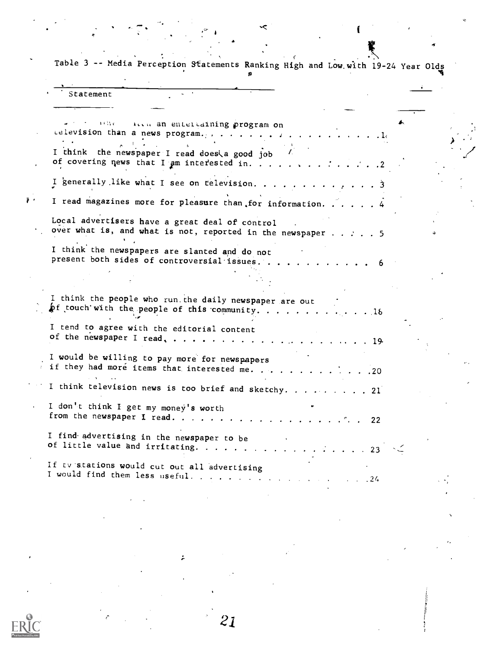Table 3 -- Media Perception Statements Ranking High and Low with 19-24 Year Olds

٠<

|    | Statement                                                                                                                             |  |
|----|---------------------------------------------------------------------------------------------------------------------------------------|--|
|    | 108c - Accu an entertaining program on<br>I think the newspaper I read does a good job<br>of covering news that I am interested in. 2 |  |
|    | I generally like what I see on television. 3                                                                                          |  |
| μ. | I read magazines more for pleasure than for information. 4                                                                            |  |
|    | Local advertisers have a great deal of control<br>over what is, and what is not, reported in the newspaper $\dots$ 5                  |  |
|    | I think the newspapers are slanted and do not<br>present both sides of controversial issues                                           |  |
|    |                                                                                                                                       |  |
|    | I think the people who run the daily newspaper are out<br>of touch with the people of this community. 18                              |  |
|    | I tend to agree with the editorial content                                                                                            |  |
|    | I would be willing to pay more for newspapers<br>if they had more items that interested me.<br>$\cdot$ $\cdot$ $.20$                  |  |
|    | I think television news is too brief and sketchy. 21                                                                                  |  |
|    | I don't think I get my money's worth<br>from the newspaper I read.<br>$\cdot$ 22                                                      |  |
|    | I find advertising in the newspaper to be<br>of little value and irritating. 23                                                       |  |
|    | If tv stations would cut out all advertising<br>I would find them less useful<br>$\sim 24$                                            |  |
|    |                                                                                                                                       |  |

21

 $\tilde{\epsilon}$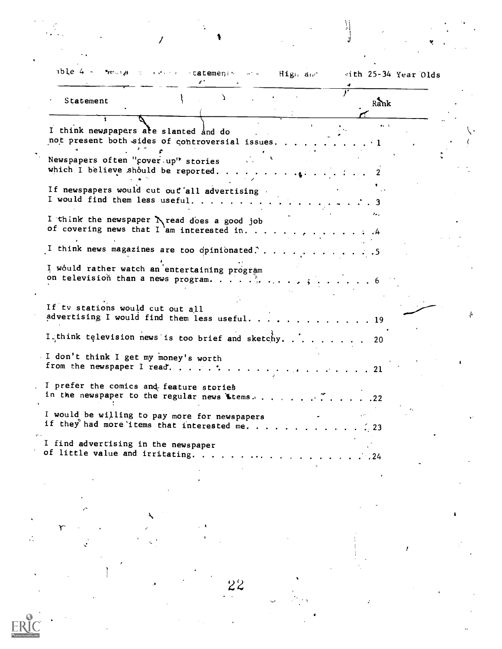| Statement                                                                  |                                                                                            | Rank                 | vith 25-34 Year Olds |
|----------------------------------------------------------------------------|--------------------------------------------------------------------------------------------|----------------------|----------------------|
| I think newspapers are slanted and do                                      | not present both sides of controversial issues                                             | $\ddot{\phantom{1}}$ |                      |
| Newspapers often "cover.up" stories<br>which I believe should be reported. |                                                                                            |                      |                      |
|                                                                            | If newspapers would cut out all advertising<br>I would find them less useful.              |                      |                      |
|                                                                            | I think the newspaper N read does a good job<br>of covering news that I 'am interested in. |                      |                      |
|                                                                            | I think news magazines are too dpinionated.                                                | د.                   |                      |
|                                                                            | I would rather watch an entertaining program<br>on television than a news program.         |                      |                      |
|                                                                            |                                                                                            |                      |                      |
| If tv stations would cut out all                                           | advertising I would find them less useful.                                                 | . 19                 |                      |
|                                                                            | I_think television news is too brief and sketchy.                                          | 20                   |                      |
| I don't think I get my money's worth<br>from the newspaper I read.         |                                                                                            | . 21                 |                      |
| I prefer the comics and feature stories                                    | in the newspaper to the regular news Ltems                                                 | .22                  |                      |
|                                                                            | I would be willing to pay more for newspapers<br>if they had more items that interested me | . 23                 |                      |
| I find advertising in the newspaper<br>of little value and irritating.     |                                                                                            |                      |                      |

 $\mathcal{L}^{\text{max}}$ 

 $\bar{t}$ 

22

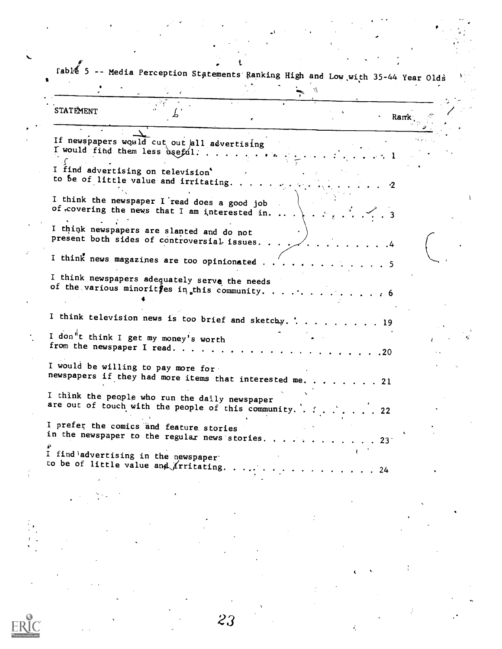$r$ abl $\ell$  5 -- Media Perception Statements Ranking High and Low with 35-44 Year Olds

STATEMENT Ь Ramk If newspapers would cut out all advertising  $I$  would find them less useful. . : . ... I find advertising on television'<br>to be of little value and irritating. I think the newspaper I read does a good job of covering the news that I am interested in. ...  $\ldots$  3 I think newspapers are slanted and do not present both sides of controversial-issues. 4 I think news magazines are too opinionated  $\ldots$ ,  $\ldots$ ,  $\ldots$ ,  $\ldots$ I think newspapers adequately serve the needs of the various minorities in this community. . I think television news is too brief and sketchy.  $\therefore$  . . . . . . . 19 I don<sup>"</sup>t think I get my money's worth from the newspaper I read <sup>20</sup> I would be willing to pay more for newspapers if they had more items that interested me. . . . . . . . 21 I think the people who run the daily newspaper are out of touch with the people of this community.  $\therefore$  ...... 22 I prefer the comics'and feature stories in the newspaper to the regular news stories. . . . . . . . . . . 23 I find advertising in the newspaper' to be of little value and *I*ritating  $\ldots$ ,  $\ldots$ ,  $\ldots$ ,  $\ldots$ , 24

23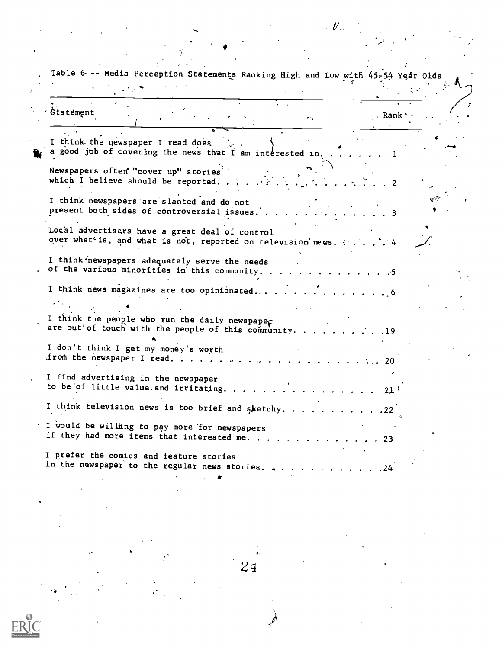|                                                                            |                                                                                                         | $\mathscr U$                                                |                                                                                  |  |
|----------------------------------------------------------------------------|---------------------------------------------------------------------------------------------------------|-------------------------------------------------------------|----------------------------------------------------------------------------------|--|
|                                                                            |                                                                                                         |                                                             |                                                                                  |  |
|                                                                            |                                                                                                         |                                                             | Table 6 -- Media Perception Statements Ranking High and Low with 45-54 Year Olds |  |
|                                                                            |                                                                                                         |                                                             |                                                                                  |  |
| Statement                                                                  |                                                                                                         | $\bullet$ $\circ$ $\bullet$                                 | , Rank .                                                                         |  |
| I think the newspaper I read does                                          |                                                                                                         | a good job of covering the news that I am interested in     |                                                                                  |  |
| Newspapers often "cover up" stories<br>which I believe should be reported. |                                                                                                         |                                                             |                                                                                  |  |
|                                                                            | I think newspapers are slanted and do not<br>present both sides of controversial issues.                |                                                             |                                                                                  |  |
|                                                                            | Local advertisers have a great deal of control                                                          | over what is, and what is not, reported on television news. |                                                                                  |  |
|                                                                            | I think newspapers adequately serve the needs<br>of the various minorities in this community.           |                                                             |                                                                                  |  |
|                                                                            |                                                                                                         | I think news magazines are too opinionated                  | $\ddot{\phantom{0}}$ . 6                                                         |  |
|                                                                            |                                                                                                         |                                                             |                                                                                  |  |
|                                                                            | I think the people who run the daily newspaper<br>are out of touch with the people of this community. . |                                                             | . 19                                                                             |  |
| I don't think I get my money's worth<br>from the newspaper I read.         |                                                                                                         |                                                             |                                                                                  |  |
| I find advertising in the newspaper                                        |                                                                                                         |                                                             |                                                                                  |  |
|                                                                            |                                                                                                         | to be of little value and irritating. 21 $\mathfrak{t}$     |                                                                                  |  |
|                                                                            |                                                                                                         | I think television news is too brief and sketchy. 22        |                                                                                  |  |
|                                                                            | I would be willing to pay more for newspapers                                                           | if they had more items that interested me. 23               |                                                                                  |  |
| I prefer the comics and feature stories                                    |                                                                                                         | in the newspaper to the regular news stories. 24            |                                                                                  |  |
|                                                                            |                                                                                                         |                                                             |                                                                                  |  |
|                                                                            |                                                                                                         |                                                             |                                                                                  |  |
|                                                                            |                                                                                                         |                                                             |                                                                                  |  |

 $\label{eq:2.1} \frac{1}{\sqrt{2}}\int_{0}^{\infty}\frac{dx}{\sqrt{2\pi}}\,dx\leq \frac{1}{2}\int_{0}^{\infty}\frac{dx}{\sqrt{2\pi}}\,dx.$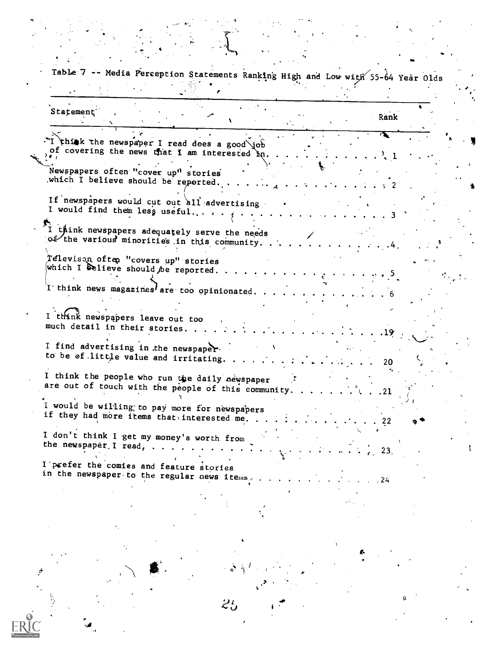Table 7 -- Media Perception Statements Ranking High and Low with 55-64 Year Olds p Statement<sup>®</sup> <sup>0</sup> Rank Think the newspaper I read does a good job  $\mathbf{r}$  where  $\mathbf{r}$ . , of covering the news that I am interested in.  $\sim$  1 Newspapers often "cover up" stories which I believe should be reported. 2 A If newspapers would cut out all advertising . I would find them less useful..... 3  $\mathbf{v}$  $i$  think newspapers adequately serve the needs  $o$  the various minorities in this community.. 4 Televison often "covers up" stories which I delieve should be reported.  $\blacksquare$ I think news magazines are too opinionated. I think newspapers leave out too much detail in their stories. . 12 J I find advertising in the newspaper. to be of little value and irritating.  $\ldots$  . . . . . . . . . . . . . 20 I think the people who run the daily newspaper ... are out of touch with the people of this community. )1 would be willing; to pay more for newspapers if they had more items that interested me. . I don't think I get my money's worth from the newspapet.I read, 23. I'prefer the comies and feature stories in the newspaper to the regular news items.  $\ldots$  .  $\ldots$  .  $\ldots$ 4 $25$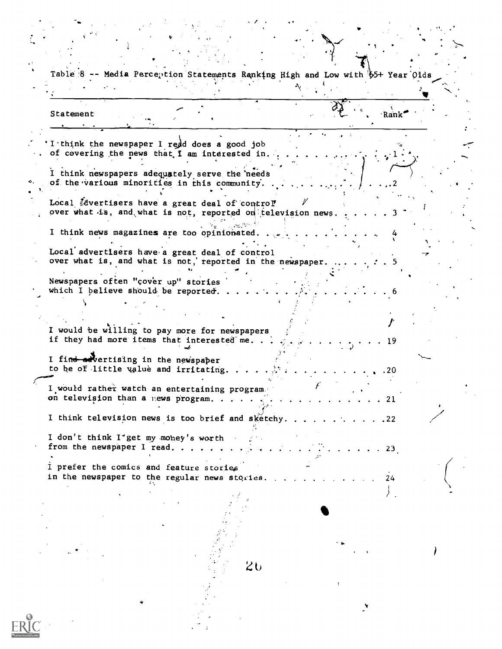a Table  $8$  -- Media Perception Statements Ranking High and Low with  $65+$  Year Olds Statement  $\mathbb{R}^n$ ,  $\mathbb{R}^n$ ,  $\mathbb{R}^n$ I think the newspaper I redd does a good job of covering the news that I am interested in. , and the same of  $\mathcal{L}$ . . I think newspapers adequately serve the'needs of the various minorities in this community. ,.2 . , we have the set of the set of the set of the set of the set of the set of the set of the set of the set of the set of the set of the set of the set of the set of the set of the set of the set of the set of the set of In the contract of the contract of the contract of the contract of the contract of the contract of the contract of the contract of the contract of the contract of the contract of the contract of the contract of the contra Local Edvertisers have a great deal of control  $\hspace{0.1cm}$  $1 - 1$ over what is, and what is not, reported on television news. I think news magazines are too opinionated.  $\gamma_{\rm{max}}$  and  $\gamma_{\rm{max}}$ 4 Local advertisers have a great deal of control over what is, and what is not,' reported in the newspaper. 5 . Newspapers often "cover up" stories which I believe should be reported..  $f_{\rm{max}}$  and  $f_{\rm{max}}$ I would be willing to pay more for newspapers if they had more items that interested me. . . . . . . . . . . . . 19 I find advertising in the newspaper to he or-little flue and irritating .20 I would rather watch an entertaining program. on television than a news program.  $\ldots$  .  $\ldots$  .  $\ldots$  .  $\ldots$  .  $\ldots$  . 21 z I think television news is too brief and sketchy. . . . . . . . . . . 22 I don't think I"get my mohey's worth from the newspaper I read.  $\ldots$  . . . . . . . . . . . . . . . . . . 23. I prefer the comics and feature stories in the newspaper to the regular news stories. The contract of 24 11 tan di Kabupatén Bandung Kabupatén Kabupatén Kabupatén Kabupatén Kabupatén Kabupatén Kabupatén Kabupatén Kabup ,  $2\mathbf{c}$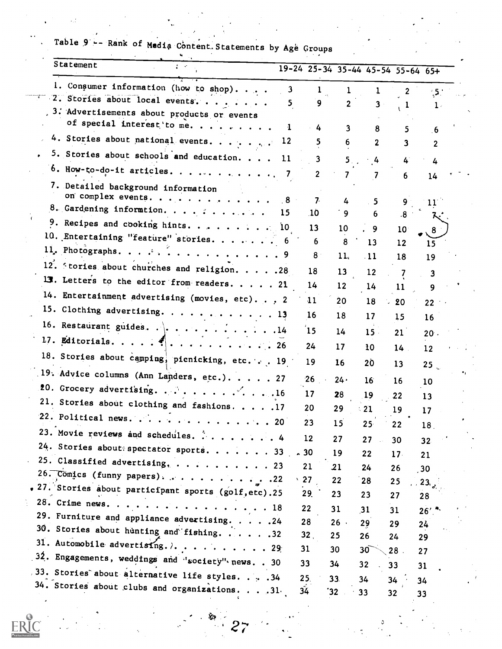| Statement                                                                                     |      |                 |                   |                 | 19-24 25-34 35-44 45-54 55-64 65+ |                      |  |
|-----------------------------------------------------------------------------------------------|------|-----------------|-------------------|-----------------|-----------------------------------|----------------------|--|
| 1. Consumer information (how to shop).                                                        | 3    |                 |                   |                 | 2                                 | $\ddot{\phantom{1}}$ |  |
| 2. Stories about local events.                                                                | 5.   | 9               | $\mathbf{2}$      | 3               |                                   | $1$ .                |  |
| 3. Advertisements about products or events                                                    |      |                 |                   |                 |                                   |                      |  |
| of special interest to me                                                                     |      | 4               | 3                 | 8               |                                   | $6 \frac{1}{2}$      |  |
| 4. Stories about national events.                                                             | 12   |                 | 6                 | 2               | 3                                 | $\mathbf{2}$         |  |
| 5. Stories about schools and education.                                                       | -11  | 3.              | 5.                | 4               | 4                                 | 4                    |  |
| 6. How-to-do-it articles. 7                                                                   |      | $\mathbf{2}$    |                   |                 | 6                                 | 14                   |  |
| 7. Detailed background information<br>on complex events.                                      | - 8  | 7 <sup>2</sup>  |                   |                 |                                   |                      |  |
| 8. Gardening informtion.                                                                      | 15   | .10             | 4<br>9            | 5.<br>6         | 9<br>.8                           | 11                   |  |
| 9. Recipes and cooking hints. 10                                                              |      | 13              | 10                |                 |                                   |                      |  |
| 10. Entertaining "feature" stories.                                                           |      | 6               | 8                 | 9<br>13         | 10 <sub>1</sub>                   | 8.                   |  |
| 11. Photographs. 9                                                                            |      | 8               | 11 <sub>1</sub>   | $-11$           | 12                                |                      |  |
| 12. Stories about churches and religion. 28                                                   |      | 18              |                   |                 | 18                                | 19                   |  |
| 13. Letters to the editor from readers. 21                                                    |      | 14              | 13                | 12              |                                   |                      |  |
| 14. Entertainment advertising (movies, etc). 2                                                |      |                 | $12 \overline{ }$ | 14              | 11                                | 9                    |  |
| 15. Clothing advertising. 13                                                                  |      | 11              | 20                | 18              | 20                                | 22                   |  |
| 16. Restaurant guides. $\cdot \cdot \cdot \cdot \cdot \cdot \cdot \cdot \cdot \cdot \cdot 14$ |      | 16              | 18                | 17              | 15                                | 16                   |  |
|                                                                                               |      | $15$            | 14                | 15.             | 21                                | 20.                  |  |
| 17. Editorials. $\mathcal{F} $ . 26                                                           |      | 24              | 17                | 10              | $14$ .                            | 12                   |  |
| 18. Stories about camping, picnicking, etc. 19                                                |      | 19              | 16                | 20              | 13                                | 25 <sub>o</sub>      |  |
| 19. Advice columns (Ann Landers, etc.) 27                                                     |      | 26              | 24۰               | 16 <sup>°</sup> | 16                                | 10                   |  |
| 20. Grocery advertising. $\cdots$ 16                                                          |      | 17              | 28                | 19              | 22                                | 13                   |  |
| 21. Stories about clothing and fashions. 17                                                   |      | 20              | 29                | 21              | 19                                | 17                   |  |
| 22. Political news. $\ldots$                                                                  | . 20 | 23              | 15                | $25 -$          | 22                                | 18                   |  |
| 23. Movie reviews and schedules. 4                                                            |      | 12              | 27                | 27              | 30                                | 32 <sub>2</sub>      |  |
| 24. Stories about spectator sports. 33                                                        |      | $-30$           | 19                | 22              | 17 <sup>2</sup>                   | 21                   |  |
| 25. Classified advertising,  23                                                               |      | 21              | 21                | 24              | 26                                | 30 <sub>2</sub>      |  |
| 26. Comics (funny papers). $\ldots$ 22                                                        |      | $\cdot$ 27      | 22                | 28              | 25                                | 23.                  |  |
| . 27. Stories about participant sports (golf, etc). 25                                        |      | 29.             | 23                | 23              | 27                                | 28                   |  |
| 28. Crime news. 18                                                                            |      | 22              | 31                | 31              | 31                                | $26'$ .              |  |
| 29. Furniture and appliance advertising. 24                                                   |      | 28              | $26$ .            | 29              | 29                                | 24                   |  |
| 30. Stories about hunting and fishing. 32                                                     |      | 32 <sub>1</sub> | 25                | 26              | 24                                | 29                   |  |
| 31. Automobile advertising. $\lambda$ 29                                                      |      | 31              | 30                | 30 <sup>°</sup> | 28.                               | 27                   |  |
| 32. Engagements, weddings and 'society" news. . 30                                            |      | 33              | 34                | 32              | 33                                | 31                   |  |
| 33. Stories about alternative life styles. 34                                                 |      | 25.             | 33.               | 34              | 34                                | 34                   |  |
| 34. Stories about clubs and organizations. 31.                                                |      | 34              | 32'               | 33              | 32                                | 33                   |  |

Table 9 -- Rank of Media Content. Statements by Age Groups

 $27$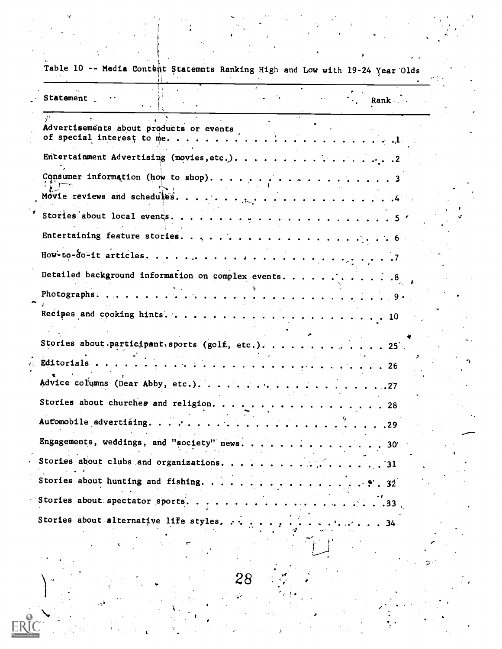| Table 10 -- Media Content Statemnts Ranking High and Low with 19-24 Year Olds        |  |
|--------------------------------------------------------------------------------------|--|
| Statement<br>Rank .                                                                  |  |
| Advertisements about products or events<br>of special interest to me                 |  |
|                                                                                      |  |
|                                                                                      |  |
|                                                                                      |  |
|                                                                                      |  |
|                                                                                      |  |
| Detailed background information on complex events. 8                                 |  |
| Photographs.<br>. 9 <b>.</b>                                                         |  |
|                                                                                      |  |
|                                                                                      |  |
| Stories about participant sports (golf, etc.). 25                                    |  |
| Editorials                                                                           |  |
| Advice columns (Dear Abby, etc.).<br>. 27                                            |  |
| Stories about churches and religion. 28                                              |  |
|                                                                                      |  |
| Engagements, weddings, and "society" news. 30                                        |  |
| Stories about clubs and organizations. 31                                            |  |
|                                                                                      |  |
|                                                                                      |  |
| Stories about alternative life styles, $\cdots$ , $\cdots$ , $\cdots$<br>$\cdots$ 34 |  |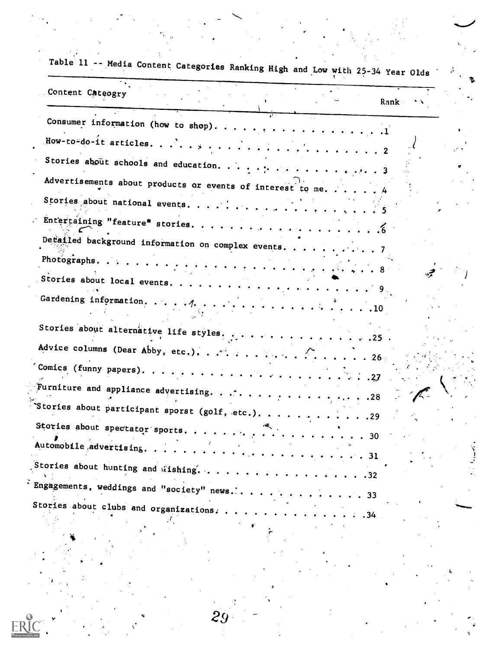| Content Cateogry<br>Rank                                                                            |  |
|-----------------------------------------------------------------------------------------------------|--|
|                                                                                                     |  |
|                                                                                                     |  |
| Stories about schools and education. 3                                                              |  |
| Advertisements about products or events of interest to me 4                                         |  |
|                                                                                                     |  |
|                                                                                                     |  |
| Detailed background information on complex events. 7                                                |  |
|                                                                                                     |  |
|                                                                                                     |  |
|                                                                                                     |  |
| Stories about alternative life styles. 25.                                                          |  |
| Advice columns (Dear Abby, etc.). $\cdots$ $\cdots$ $\cdots$ $\cdots$ $\cdots$ $\cdots$ $\cdots$ 26 |  |
|                                                                                                     |  |
|                                                                                                     |  |
|                                                                                                     |  |
| Stories about spectator sports.                                                                     |  |
| Automobile advertising<br>. 31                                                                      |  |
| $\sqrt{5}$ tories about hunting and fishing.<br>.32                                                 |  |
| Engagements, weddings and "society" news<br>.33                                                     |  |
| Stories about clubs and organizations.<br>.34                                                       |  |

29

 $E$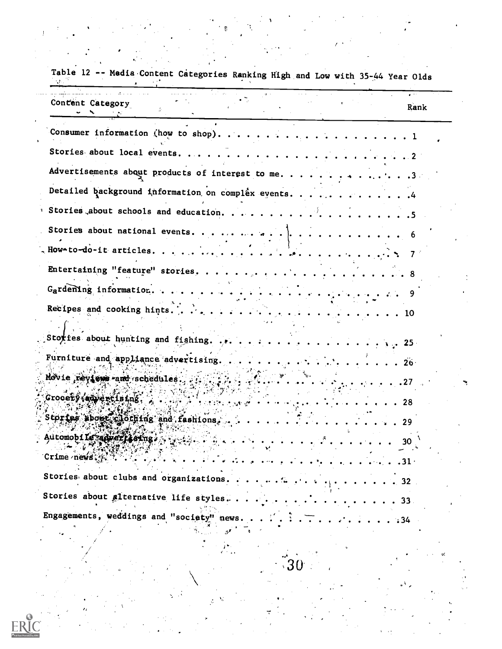| Table 12 -- Media Content Categories Ranking High and Low with 35-44 Year Olds |  |
|--------------------------------------------------------------------------------|--|
| Content Category<br>Rank                                                       |  |
|                                                                                |  |
|                                                                                |  |
| Advertisements about products of interest to me3                               |  |
| Detailed background information on complex events4                             |  |
|                                                                                |  |
|                                                                                |  |
|                                                                                |  |
|                                                                                |  |
|                                                                                |  |
|                                                                                |  |
|                                                                                |  |
| Furniture and appliance advertising.<br>$\cdot$ $\cdot$ 26 $\cdot$             |  |
| Movie reviews and schedules.                                                   |  |
| Grocety (advertising, ,<br>. 28                                                |  |
| Stortes sbout clothing and fashions.                                           |  |
| Automobile appertising a service.<br>30.                                       |  |
| Crime news:                                                                    |  |
| Stories about clubs and organizations                                          |  |
| . 32.<br>Stories about alternative life styles                                 |  |
| -33-<br>Engagements, weddings and "society" news.                              |  |
| $\cdot 34$                                                                     |  |
|                                                                                |  |
|                                                                                |  |
|                                                                                |  |

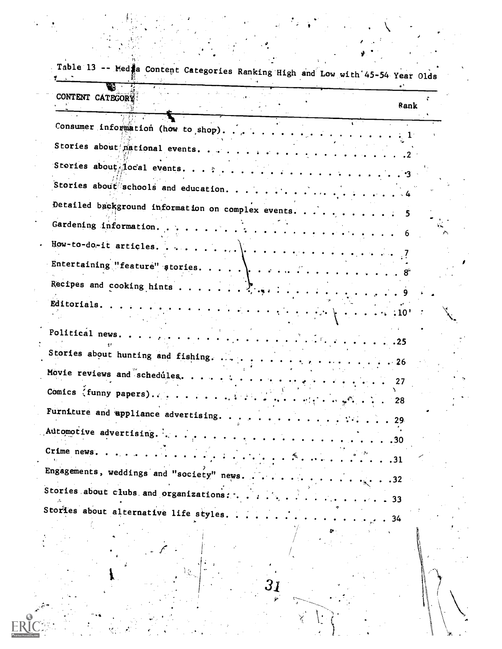| Table 13 -- Med a Content Categories Ranking High and Low with 45-54 Year Olds                                                                                                                                                                                                                                                                                                                                       |                                                      |      |
|----------------------------------------------------------------------------------------------------------------------------------------------------------------------------------------------------------------------------------------------------------------------------------------------------------------------------------------------------------------------------------------------------------------------|------------------------------------------------------|------|
| CONTENT CATEGORY                                                                                                                                                                                                                                                                                                                                                                                                     |                                                      | Rank |
|                                                                                                                                                                                                                                                                                                                                                                                                                      |                                                      |      |
| Stories about mational events.                                                                                                                                                                                                                                                                                                                                                                                       |                                                      |      |
|                                                                                                                                                                                                                                                                                                                                                                                                                      |                                                      |      |
|                                                                                                                                                                                                                                                                                                                                                                                                                      |                                                      |      |
| Gardening information                                                                                                                                                                                                                                                                                                                                                                                                | . 6                                                  |      |
|                                                                                                                                                                                                                                                                                                                                                                                                                      |                                                      |      |
|                                                                                                                                                                                                                                                                                                                                                                                                                      |                                                      |      |
|                                                                                                                                                                                                                                                                                                                                                                                                                      |                                                      |      |
| Editorials.<br>$\mathcal{F}^{(1)}\cap\mathcal{F}^{(2)}\cap\mathcal{F}^{(3)}\cap\mathcal{F}^{(4)}\cap\mathcal{F}^{(5)}\cap\mathcal{F}^{(6)}\cap\mathcal{F}^{(5)}\cap\mathcal{F}^{(6)}\cap\mathcal{F}^{(6)}\cap\mathcal{F}^{(6)}\cap\mathcal{F}^{(6)}\cap\mathcal{F}^{(6)}\cap\mathcal{F}^{(6)}\cap\mathcal{F}^{(6)}\cap\mathcal{F}^{(6)}\cap\mathcal{F}^{(6)}\cap\mathcal{F}^{(6)}\cap\mathcal{F}^{(6)}\cap\mathcal{$ |                                                      |      |
| Political news.                                                                                                                                                                                                                                                                                                                                                                                                      | $\cdots$ 25                                          |      |
| Stories about hunting and fishing.                                                                                                                                                                                                                                                                                                                                                                                   |                                                      |      |
| Movie reviews and schedules.                                                                                                                                                                                                                                                                                                                                                                                         |                                                      | 27   |
| Furniture and appliance advertising.                                                                                                                                                                                                                                                                                                                                                                                 | 28                                                   |      |
| Automotive advertising.                                                                                                                                                                                                                                                                                                                                                                                              | $\cdot$ $\cdot$ 29                                   |      |
| Crime news.                                                                                                                                                                                                                                                                                                                                                                                                          | $\cdots$ 30<br>. .31                                 |      |
| Engagements, weddings and "society" news.                                                                                                                                                                                                                                                                                                                                                                            | $\ldots$ 32                                          |      |
| Stories about clubs and organizations:                                                                                                                                                                                                                                                                                                                                                                               | $\mathbf{r}$ . The state $\mathbf{r}$<br>$\cdots$ 33 |      |

 $\frac{1}{2}$ 

 $\sum_{i=1}^{n}$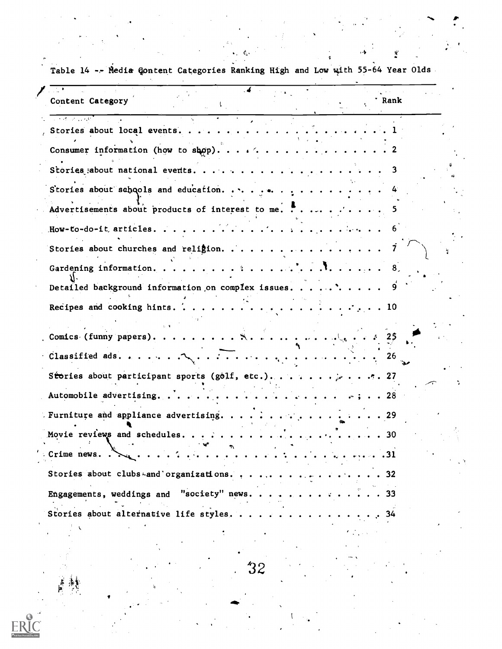| Content Category                                                                             |  | <sup>.</sup> Rank |  |
|----------------------------------------------------------------------------------------------|--|-------------------|--|
| a kata wa wakazi wa                                                                          |  | $\sim$ 1          |  |
|                                                                                              |  |                   |  |
|                                                                                              |  |                   |  |
| Stories about schools and education. $\ldots$                                                |  |                   |  |
| Advertisements about products of interest to me. $\cdot \cdot \cdot \cdot \cdot \cdot \cdot$ |  | 5.                |  |
|                                                                                              |  |                   |  |
| Stories about churches and religion.                                                         |  |                   |  |
|                                                                                              |  | - 8 .             |  |
| Detailed background information on complex issues                                            |  |                   |  |
|                                                                                              |  |                   |  |
|                                                                                              |  | -25               |  |
|                                                                                              |  | 26                |  |
|                                                                                              |  |                   |  |
|                                                                                              |  |                   |  |
| Furniture and appliance advertising. $\cdots$ 29                                             |  |                   |  |
|                                                                                              |  |                   |  |
| Crime news                                                                                   |  | $\ldots$ 31       |  |
| Stories about clubs-and organizations                                                        |  | -32               |  |
| Engagements, weddings and "society" news.                                                    |  |                   |  |
| Stories about alternative life styles                                                        |  |                   |  |

Table 14 -- Media Qontent Categories Ranking High and Low with 55-64 Year Olds

 $\mathcal{N}$ 

t,

Eŀ